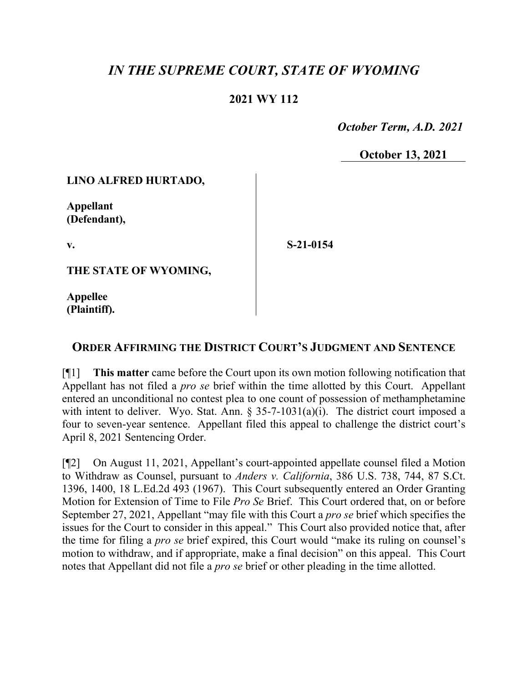# *IN THE SUPREME COURT, STATE OF WYOMING*

### **2021 WY 112**

 *October Term, A.D. 2021*

**October 13, 2021**

### **LINO ALFRED HURTADO,**

**Appellant (Defendant),**

**v.**

**S-21-0154**

**THE STATE OF WYOMING,**

**Appellee (Plaintiff).**

## **ORDER AFFIRMING THE DISTRICT COURT'S JUDGMENT AND SENTENCE**

[¶1] **This matter** came before the Court upon its own motion following notification that Appellant has not filed a *pro se* brief within the time allotted by this Court. Appellant entered an unconditional no contest plea to one count of possession of methamphetamine with intent to deliver. Wyo. Stat. Ann.  $\S 35-7-1031(a)(i)$ . The district court imposed a four to seven-year sentence. Appellant filed this appeal to challenge the district court's April 8, 2021 Sentencing Order.

[¶2] On August 11, 2021, Appellant's court-appointed appellate counsel filed a Motion to Withdraw as Counsel, pursuant to *Anders v. California*, 386 U.S. 738, 744, 87 S.Ct. 1396, 1400, 18 L.Ed.2d 493 (1967). This Court subsequently entered an Order Granting Motion for Extension of Time to File *Pro Se* Brief. This Court ordered that, on or before September 27, 2021, Appellant "may file with this Court a *pro se* brief which specifies the issues for the Court to consider in this appeal." This Court also provided notice that, after the time for filing a *pro se* brief expired, this Court would "make its ruling on counsel's motion to withdraw, and if appropriate, make a final decision" on this appeal. This Court notes that Appellant did not file a *pro se* brief or other pleading in the time allotted.